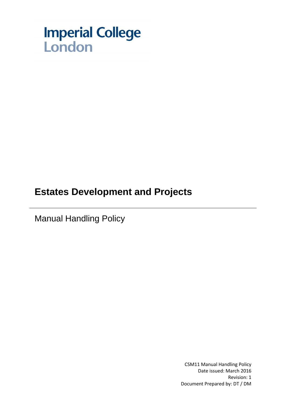

# **Estates Development and Projects**

Manual Handling Policy

CSM11 Manual Handling Policy Date issued: March 2016 Revision: 1 Document Prepared by: DT / DM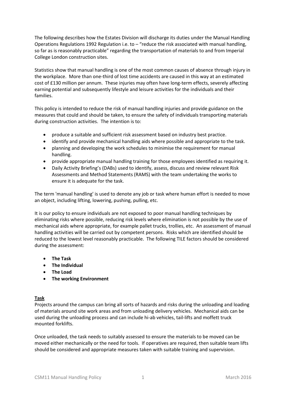The following describes how the Estates Division will discharge its duties under the Manual Handling Operations Regulations 1992 Regulation i.e. to – "reduce the risk associated with manual handling, so far as is reasonably practicable" regarding the transportation of materials to and from Imperial College London construction sites.

Statistics show that manual handling is one of the most common causes of absence through injury in the workplace. More than one-third of lost time accidents are caused in this way at an estimated cost of £130 million per annum. These injuries may often have long-term effects, severely affecting earning potential and subsequently lifestyle and leisure activities for the individuals and their families.

This policy is intended to reduce the risk of manual handling injuries and provide guidance on the measures that could and should be taken, to ensure the safety of individuals transporting materials during construction activities. The intention is to:

- produce a suitable and sufficient risk assessment based on industry best practice.
- identify and provide mechanical handling aids where possible and appropriate to the task.
- planning and developing the work schedules to minimise the requirement for manual handling.
- provide appropriate manual handling training for those employees identified as requiring it.
- Daily Activity Briefing's (DABs) used to identify, assess, discuss and review relevant Risk Assessments and Method Statements (RAMS) with the team undertaking the works to ensure it is adequate for the task.

The term 'manual handling' is used to denote any job or task where human effort is needed to move an object, including lifting, lowering, pushing, pulling, etc.

It is our policy to ensure individuals are not exposed to poor manual handling techniques by eliminating risks where possible, reducing risk levels where elimination is not possible by the use of mechanical aids where appropriate, for example pallet trucks, trollies, etc. An assessment of manual handling activities will be carried out by competent persons. Risks which are identified should be reduced to the lowest level reasonably practicable. The following TILE factors should be considered during the assessment:

- **The Task**
- **The Individual**
- **The Load**
- **The working Environment**

## **Task**

Projects around the campus can bring all sorts of hazards and risks during the unloading and loading of materials around site work areas and from unloading delivery vehicles. Mechanical aids can be used during the unloading process and can include hi-ab vehicles, tail-lifts and moffett truck mounted forklifts.

Once unloaded, the task needs to suitably assessed to ensure the materials to be moved can be moved either mechanically or the need for tools. If operatives are required, then suitable team lifts should be considered and appropriate measures taken with suitable training and supervision.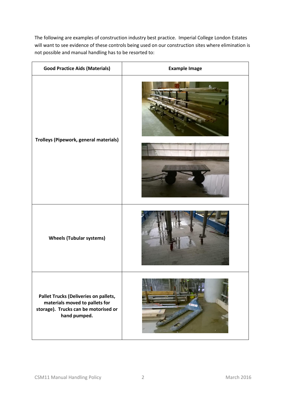The following are examples of construction industry best practice. Imperial College London Estates will want to see evidence of these controls being used on our construction sites where elimination is not possible and manual handling has to be resorted to:

| <b>Good Practice Aids (Materials)</b>                                                                                           | <b>Example Image</b> |
|---------------------------------------------------------------------------------------------------------------------------------|----------------------|
| Trolleys (Pipework, general materials)                                                                                          |                      |
|                                                                                                                                 |                      |
| <b>Wheels (Tubular systems)</b>                                                                                                 |                      |
| Pallet Trucks (Deliveries on pallets,<br>materials moved to pallets for<br>storage). Trucks can be motorised or<br>hand pumped. |                      |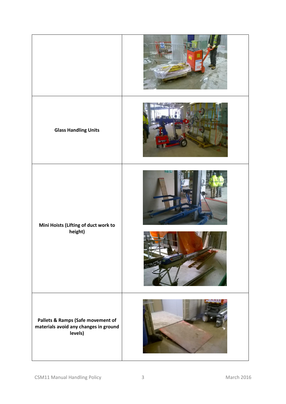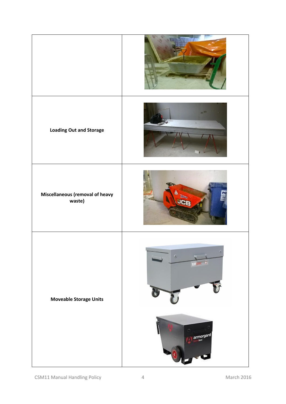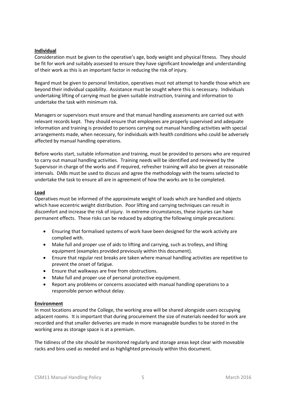### **Individual**

Consideration must be given to the operative's age, body weight and physical fitness. They should be fit for work and suitably assessed to ensure they have significant knowledge and understanding of their work as this is an important factor in reducing the risk of injury.

Regard must be given to personal limitation, operatives must not attempt to handle those which are beyond their individual capability. Assistance must be sought where this is necessary. Individuals undertaking lifting of carrying must be given suitable instruction, training and information to undertake the task with minimum risk.

Managers or supervisors must ensure and that manual handling assessments are carried out with relevant records kept. They should ensure that employees are properly supervised and adequate information and training is provided to persons carrying out manual handling activities with special arrangements made, when necessary, for individuals with health conditions who could be adversely affected by manual handling operations.

Before works start, suitable information and training, must be provided to persons who are required to carry out manual handling activities. Training needs will be identified and reviewed by the Supervisor in charge of the works and if required, refresher training will also be given at reasonable intervals. DABs must be used to discuss and agree the methodology with the teams selected to undertake the task to ensure all are in agreement of how the works are to be completed.

### **Load**

Operatives must be informed of the approximate weight of loads which are handled and objects which have eccentric weight distribution. Poor lifting and carrying techniques can result in discomfort and increase the risk of injury. In extreme circumstances, these injuries can have permanent effects. These risks can be reduced by adopting the following simple precautions:

- Ensuring that formalised systems of work have been designed for the work activity are complied with.
- Make full and proper use of aids to lifting and carrying, such as trolleys, and lifting equipment (examples provided previously within this document).
- Ensure that regular rest breaks are taken where manual handling activities are repetitive to prevent the onset of fatigue.
- Ensure that walkways are free from obstructions.
- Make full and proper use of personal protective equipment.
- Report any problems or concerns associated with manual handling operations to a responsible person without delay.

#### **Environment**

In most locations around the College, the working area will be shared alongside users occupying adjacent rooms. It is important that during procurement the size of materials needed for work are recorded and that smaller deliveries are made in more manageable bundles to be stored in the working area as storage space is at a premium.

The tidiness of the site should be monitored regularly and storage areas kept clear with moveable racks and bins used as needed and as highlighted previously within this document.